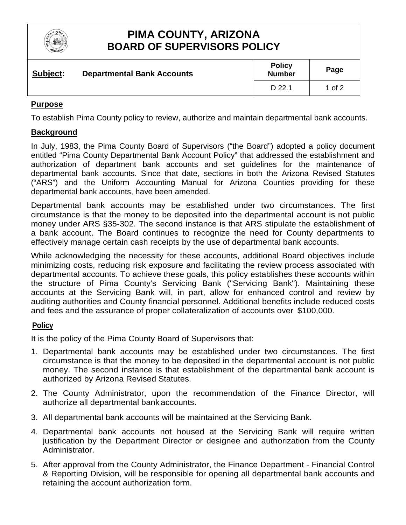

# **PIMA COUNTY, ARIZONA BOARD OF SUPERVISORS POLICY**

| Subject: | <b>Departmental Bank Accounts</b> | <b>Policy</b><br><b>Number</b> | Page   |
|----------|-----------------------------------|--------------------------------|--------|
|          |                                   | D 22.1                         | 1 of 2 |

## **Purpose**

To establish Pima County policy to review, authorize and maintain departmental bank accounts.

### **Background**

In July, 1983, the Pima County Board of Supervisors ("the Board") adopted a policy document entitled "Pima County Departmental Bank Account Policy" that addressed the establishment and authorization of department bank accounts and set guidelines for the maintenance of departmental bank accounts. Since that date, sections in both the Arizona Revised Statutes ("ARS") and the Uniform Accounting Manual for Arizona Counties providing for these departmental bank accounts, have been amended.

Departmental bank accounts may be established under two circumstances. The first circumstance is that the money to be deposited into the departmental account is not public money under ARS §35-302. The second instance is that ARS stipulate the establishment of a bank account. The Board continues to recognize the need for County departments to effectively manage certain cash receipts by the use of departmental bank accounts.

While acknowledging the necessity for these accounts, additional Board objectives include minimizing costs, reducing risk exposure and facilitating the review process associated with departmental accounts. To achieve these goals, this policy establishes these accounts within the structure of Pima County's Servicing Bank ("Servicing Bank"). Maintaining these accounts at the Servicing Bank will, in part, allow for enhanced control and review by auditing authorities and County financial personnel. Additional benefits include reduced costs and fees and the assurance of proper collateralization of accounts over \$100,000.

## **Policy**

It is the policy of the Pima County Board of Supervisors that:

- 1. Departmental bank accounts may be established under two circumstances. The first circumstance is that the money to be deposited in the departmental account is not public money. The second instance is that establishment of the departmental bank account is authorized by Arizona Revised Statutes.
- 2. The County Administrator, upon the recommendation of the Finance Director, will authorize all departmental bank accounts.
- 3. All departmental bank accounts will be maintained at the Servicing Bank.
- 4. Departmental bank accounts not housed at the Servicing Bank will require written justification by the Department Director or designee and authorization from the County Administrator.
- 5. After approval from the County Administrator, the Finance Department Financial Control & Reporting Division, will be responsible for opening all departmental bank accounts and retaining the account authorization form.